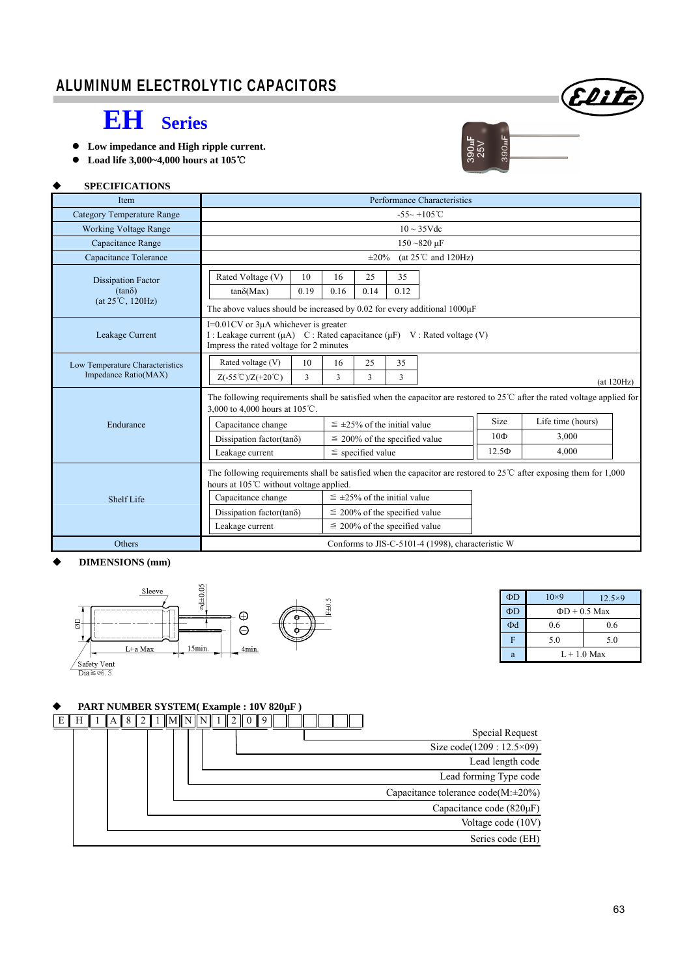## ALUMINUM ELECTROLYTIC CAPACITORS



390uF

90ul

- **EH Series**
- **Low impedance and High ripple current.**
- **Load life 3,000~4,000 hours at 105**℃

### **SPECIFICATIONS**

| Item                                                    | Performance Characteristics                                                                                                                                                                                                                      |                                                                          |            |                   |            |  |  |
|---------------------------------------------------------|--------------------------------------------------------------------------------------------------------------------------------------------------------------------------------------------------------------------------------------------------|--------------------------------------------------------------------------|------------|-------------------|------------|--|--|
| <b>Category Temperature Range</b>                       | $-55\sim +105^{\circ}$ C                                                                                                                                                                                                                         |                                                                          |            |                   |            |  |  |
| <b>Working Voltage Range</b>                            | $10 \sim 35 \text{Vdc}$                                                                                                                                                                                                                          |                                                                          |            |                   |            |  |  |
| Capacitance Range                                       |                                                                                                                                                                                                                                                  | $150 - 820 \mu F$                                                        |            |                   |            |  |  |
| Capacitance Tolerance                                   | (at $25^{\circ}$ C and $120$ Hz)<br>$\pm 20\%$                                                                                                                                                                                                   |                                                                          |            |                   |            |  |  |
| <b>Dissipation Factor</b><br>$(tan\delta)$              | Rated Voltage (V)<br>10<br>0.19<br>$tan\delta(Max)$                                                                                                                                                                                              | 25<br>35<br>16<br>0.14<br>0.12<br>0.16                                   |            |                   |            |  |  |
| $(at 25^{\circ}C, 120Hz)$                               | The above values should be increased by 0.02 for every additional 1000µF                                                                                                                                                                         |                                                                          |            |                   |            |  |  |
| Leakage Current                                         | $I=0.01$ CV or $3\mu A$ whichever is greater<br>I : Leakage current ( $\mu$ A) C : Rated capacitance ( $\mu$ F) V : Rated voltage (V)<br>Impress the rated voltage for 2 minutes                                                                 |                                                                          |            |                   |            |  |  |
| Low Temperature Characteristics<br>Impedance Ratio(MAX) | Rated voltage (V)<br>10<br>3<br>$Z(-55^{\circ}\text{C})/Z(+20^{\circ}\text{C})$                                                                                                                                                                  | 25<br>35<br>16<br>3<br>3<br>3                                            |            |                   | (at 120Hz) |  |  |
|                                                         | The following requirements shall be satisfied when the capacitor are restored to $25^{\circ}$ after the rated voltage applied for<br>3,000 to 4,000 hours at 105℃.                                                                               |                                                                          |            |                   |            |  |  |
| Endurance                                               | Capacitance change                                                                                                                                                                                                                               | $\leq$ ±25% of the initial value                                         | Size       | Life time (hours) |            |  |  |
|                                                         | Dissipation factor(tan $\delta$ )                                                                                                                                                                                                                | $\leq$ 200% of the specified value                                       | 10Ф        | 3,000             |            |  |  |
|                                                         | Leakage current                                                                                                                                                                                                                                  | $\le$ specified value                                                    | $12.5\Phi$ | 4.000             |            |  |  |
| <b>Shelf Life</b>                                       | The following requirements shall be satisfied when the capacitor are restored to $25^{\circ}$ C after exposing them for 1,000<br>hours at $105^{\circ}$ C without voltage applied.<br>$\leq \pm 25\%$ of the initial value<br>Capacitance change |                                                                          |            |                   |            |  |  |
|                                                         | Dissipation factor(tan $\delta$ )<br>Leakage current                                                                                                                                                                                             | $\leq$ 200% of the specified value<br>$\leq$ 200% of the specified value |            |                   |            |  |  |
| Others                                                  | Conforms to JIS-C-5101-4 (1998), characteristic W                                                                                                                                                                                                |                                                                          |            |                   |            |  |  |

### **DIMENSIONS (mm)**



| $\Phi$ D | $10\times9$ | $12.5\times9$      |  |  |
|----------|-------------|--------------------|--|--|
| ΦD       |             | $\Phi$ D + 0.5 Max |  |  |
| Φd       | 0.6         | 0.6                |  |  |
| F        | 5.0         | 5.0                |  |  |
|          | $L+1.0$ Max |                    |  |  |

### **PART NUMBER SYSTEM( Example : 10V 820µF )**